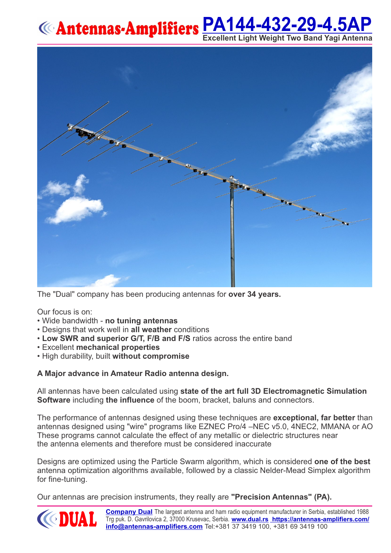# **[PA144-432-29-4.5AP](https://antennas-amplifiers.com/product/dual-band-2m-70cm-antenna/single-connector-dual-band/single-connector-dual-band-2m-70cm-antenna/) Excellent Light Weight Two Band Yagi Antenna**



The "Dual" company has been producing antennas for **over 34 years.**

Our focus is on:

- Wide bandwidth **no tuning antennas**
- Designs that work well in **all weather** conditions
- **Low SWR and superior G/T, F/B and F/S** ratios across the entire band
- •Excellent **mechanical properties**
- •High durability, built **without compromise**

#### **A Major advance in Amateur Radio antenna design.**

All antennas have been calculated using **state of the art full 3D Electromagnetic Simulation Software** including **the influence** of the boom, bracket, baluns and connectors.

The performance of antennas designed using these techniques are **exceptional, far better** than antennas designed using "wire" programs like EZNEC Pro/4 –NEC v5.0, 4NEC2, MMANA or AO These programs cannot calculate the effect of any metallic or dielectric structures near the antenna elements and therefore must be considered inaccurate

Designs are optimized using the Particle Swarm algorithm, which is considered **one of the best** antenna optimization algorithms available, followed by a classic Nelder-Mead Simplex algorithm for fine-tuning.

Our antennas are precision instruments, they really are **"Precision Antennas" (PA).**

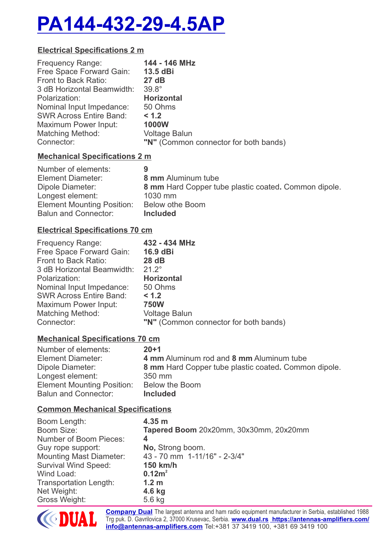# **[PA144-432-29-4.5AP](https://antennas-amplifiers.com/product/dual-band-2m-70cm-antenna/single-connector-dual-band/single-connector-dual-band-2m-70cm-antenna/)**

# **Electrical Specifications 2 m**

| Free Space Forward Gain:<br>13.5 dBi<br>Front to Back Ratio:<br>27 dB<br>$39.8^\circ$<br>3 dB Horizontal Beamwidth:<br><b>Horizontal</b><br>Polarization:<br>Nominal Input Impedance:<br>50 Ohms<br><b>SWR Across Entire Band:</b><br>< 1.2<br><b>1000W</b><br>Maximum Power Input:<br><b>Voltage Balun</b> |  |
|-------------------------------------------------------------------------------------------------------------------------------------------------------------------------------------------------------------------------------------------------------------------------------------------------------------|--|
| <b>Matching Method:</b><br>"N" (Common connector for both bands)<br>Connector:                                                                                                                                                                                                                              |  |

# **Mechanical Specifications 2 m**

| Number of elements:               | 9                                                    |
|-----------------------------------|------------------------------------------------------|
| <b>Element Diameter:</b>          | 8 mm Aluminum tube                                   |
| Dipole Diameter:                  | 8 mm Hard Copper tube plastic coated. Common dipole. |
| Longest element:                  | $1030$ mm                                            |
| <b>Element Mounting Position:</b> | Below othe Boom                                      |
| <b>Balun and Connector:</b>       | <b>Included</b>                                      |

# **Electrical Specifications 70 cm**

| <b>Frequency Range:</b>        | 432 - 434 MHz                         |
|--------------------------------|---------------------------------------|
| Free Space Forward Gain:       | 16.9 dBi                              |
| Front to Back Ratio:           | 28dB                                  |
| 3 dB Horizontal Beamwidth:     | $21.2^{\circ}$                        |
| Polarization:                  | <b>Horizontal</b>                     |
| Nominal Input Impedance:       | 50 Ohms                               |
| <b>SWR Across Entire Band:</b> | < 1.2                                 |
| Maximum Power Input:           | <b>750W</b>                           |
| <b>Matching Method:</b>        | <b>Voltage Balun</b>                  |
| Connector:                     | "N" (Common connector for both bands) |

# **Mechanical Specifications 70 cm**

| Number of elements:               | $20 + 1$                                             |
|-----------------------------------|------------------------------------------------------|
| <b>Element Diameter:</b>          | 4 mm Aluminum rod and 8 mm Aluminum tube             |
| Dipole Diameter:                  | 8 mm Hard Copper tube plastic coated. Common dipole. |
| Longest element:                  | 350 mm                                               |
| <b>Element Mounting Position:</b> | Below the Boom                                       |
| <b>Balun and Connector:</b>       | <b>Included</b>                                      |

# **Common Mechanical Specifications**

| Boom Length:                   | 4.35 m                                 |
|--------------------------------|----------------------------------------|
| Boom Size:                     | Tapered Boom 20x20mm, 30x30mm, 20x20mm |
| Number of Boom Pieces:         | 4                                      |
| Guy rope support:              | No, Strong boom.                       |
| <b>Mounting Mast Diameter:</b> | 43 - 70 mm 1-11/16" - 2-3/4"           |
| <b>Survival Wind Speed:</b>    | 150 km/h                               |
| Wind Load:                     | 0.12m <sup>2</sup>                     |
| <b>Transportation Length:</b>  | 1.2 <sub>m</sub>                       |
| Net Weight:                    | 4.6 kg                                 |
| <b>Gross Weight:</b>           | 5.6 kg                                 |



**[Company Dual](https://antennas-amplifiers.com/contact-us/)** The largest antenna and ham radio equipment [m](http://www.dual.rs)anufacturer in Serbia, established 1988 Trg puk. D. Gavrilovica 2, 37000 Krusevac, Serbia. **[www.dual.rs](http://www.dual.rs) [https://antennas-amplifiers.com](https://antennas-amplifiers.com/)/ [info@antennas-amplifiers.com](mailto:info@antennas-amplifiers.com)** Tel:+381 37 3419 100, +381 69 3419 100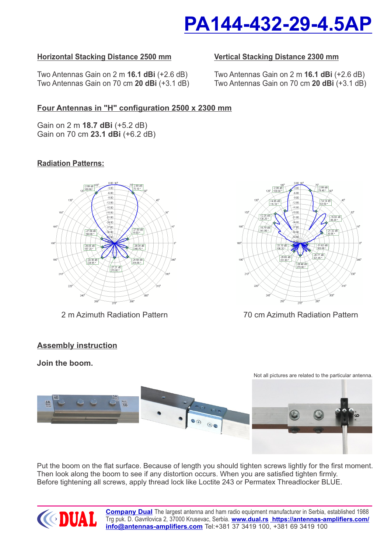

## **Horizontal Stacking Distance 2500 mm**

Two Antennas Gain on 2 m **16.1 dBi** (+2.6 dB) Two Antennas Gain on 70 cm **20 dBi** (+3.1 dB)

#### **Vertical Stacking Distance 2300 mm**

Two Antennas Gain on 2 m **16.1 dBi** (+2.6 dB) Two Antennas Gain on 70 cm **20 dBi** (+3.1 dB)

## **Four Antennas in "H" configuration 2500 x 2300 mm**

Gain on 2 m **18.7 dBi** (+5.2 dB) Gain on 70 cm **23.1 dBi** (+6.2 dB)

### **Radiation Patterns:**



#### **Assembly instruction**

#### **Join the boom.**



2 m Azimuth Radiation Pattern 70 cm Azimuth Radiation Pattern



Put the boom on the flat surface. Because of length you should tighten screws lightly for the first moment. Then look along the boom to see if any distortion occurs. When you are satisfied tighten firmly. Before tightening all screws, apply thread lock like Loctite 243 or Permatex Threadlocker BLUE.



**[Company Dual](https://antennas-amplifiers.com/contact-us/)** The largest antenna and ham radio equipment [m](http://www.dual.rs)anufacturer in Serbia, established 1988 Trg puk. D. Gavrilovica 2, 37000 Krusevac, Serbia. **[www.dual.rs](http://www.dual.rs) [https://antennas-amplifiers.com](https://antennas-amplifiers.com/)/ [info@antennas-amplifiers.com](mailto:info@antennas-amplifiers.com)** Tel:+381 37 3419 100, +381 69 3419 100